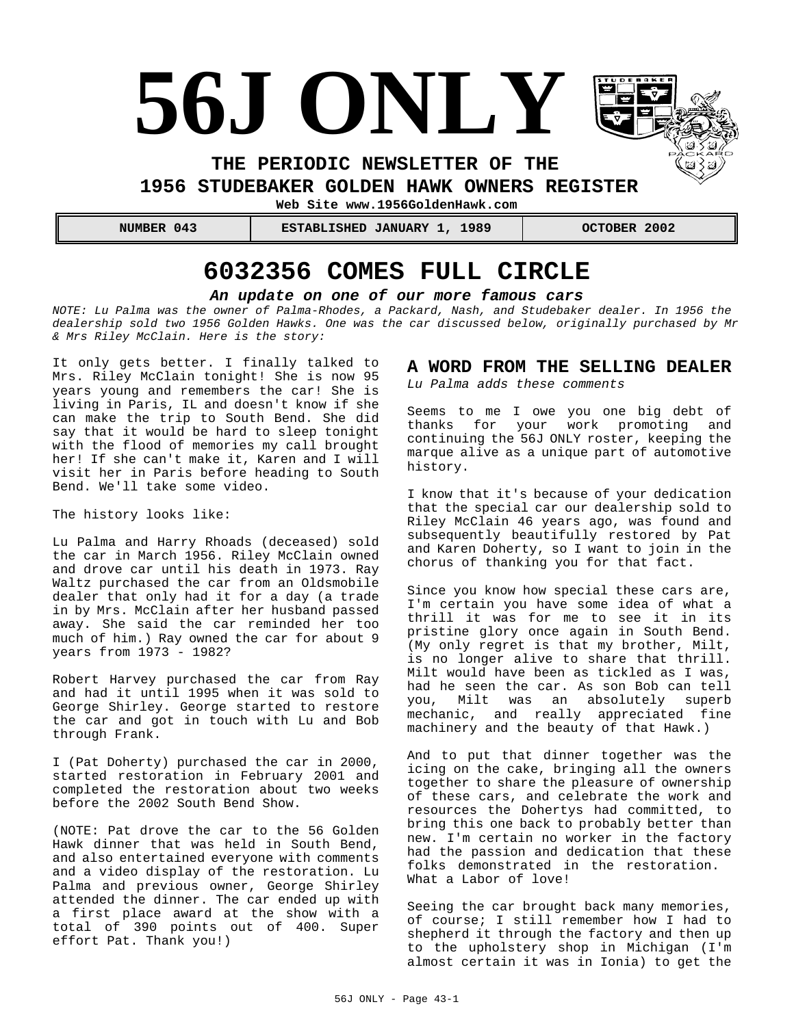# **56J ONLY**

**THE PERIODIC NEWSLETTER OF THE** 

**1956 STUDEBAKER GOLDEN HAWK OWNERS REGISTER** 

**Web Site www.1956GoldenHawk.com**

 **NUMBER 043 ESTABLISHED JANUARY 1, 1989 OCTOBER 2002**

# **6032356 COMES FULL CIRCLE**

#### *An update on one of our more famous cars*

*NOTE: Lu Palma was the owner of Palma-Rhodes, a Packard, Nash, and Studebaker dealer. In 1956 the dealership sold two 1956 Golden Hawks. One was the car discussed below, originally purchased by Mr & Mrs Riley McClain. Here is the story:*

It only gets better. I finally talked to Mrs. Riley McClain tonight! She is now 95 years young and remembers the car! She is living in Paris, IL and doesn't know if she can make the trip to South Bend. She did say that it would be hard to sleep tonight with the flood of memories my call brought her! If she can't make it, Karen and I will visit her in Paris before heading to South Bend. We'll take some video.

The history looks like:

Lu Palma and Harry Rhoads (deceased) sold the car in March 1956. Riley McClain owned and drove car until his death in 1973. Ray Waltz purchased the car from an Oldsmobile dealer that only had it for a day (a trade in by Mrs. McClain after her husband passed away. She said the car reminded her too much of him.) Ray owned the car for about 9 years from 1973 - 1982?

Robert Harvey purchased the car from Ray and had it until 1995 when it was sold to George Shirley. George started to restore the car and got in touch with Lu and Bob through Frank.

I (Pat Doherty) purchased the car in 2000, started restoration in February 2001 and completed the restoration about two weeks before the 2002 South Bend Show.

(NOTE: Pat drove the car to the 56 Golden Hawk dinner that was held in South Bend, and also entertained everyone with comments and a video display of the restoration. Lu Palma and previous owner, George Shirley attended the dinner. The car ended up with a first place award at the show with a total of 390 points out of 400. Super effort Pat. Thank you!)

#### **A WORD FROM THE SELLING DEALER**

*Lu Palma adds these comments*

Seems to me I owe you one big debt of<br>thanks for your work promoting and thanks for your work promoting continuing the 56J ONLY roster, keeping the marque alive as a unique part of automotive history.

I know that it's because of your dedication that the special car our dealership sold to Riley McClain 46 years ago, was found and subsequently beautifully restored by Pat and Karen Doherty, so I want to join in the chorus of thanking you for that fact.

Since you know how special these cars are, I'm certain you have some idea of what a thrill it was for me to see it in its pristine glory once again in South Bend. (My only regret is that my brother, Milt, is no longer alive to share that thrill. Milt would have been as tickled as I was, had he seen the car. As son Bob can tell you, Milt was an absolutely superb mechanic, and really appreciated fine machinery and the beauty of that Hawk.)

And to put that dinner together was the icing on the cake, bringing all the owners together to share the pleasure of ownership of these cars, and celebrate the work and resources the Dohertys had committed, to bring this one back to probably better than new. I'm certain no worker in the factory had the passion and dedication that these folks demonstrated in the restoration. What a Labor of love!

Seeing the car brought back many memories, of course; I still remember how I had to shepherd it through the factory and then up to the upholstery shop in Michigan (I'm almost certain it was in Ionia) to get the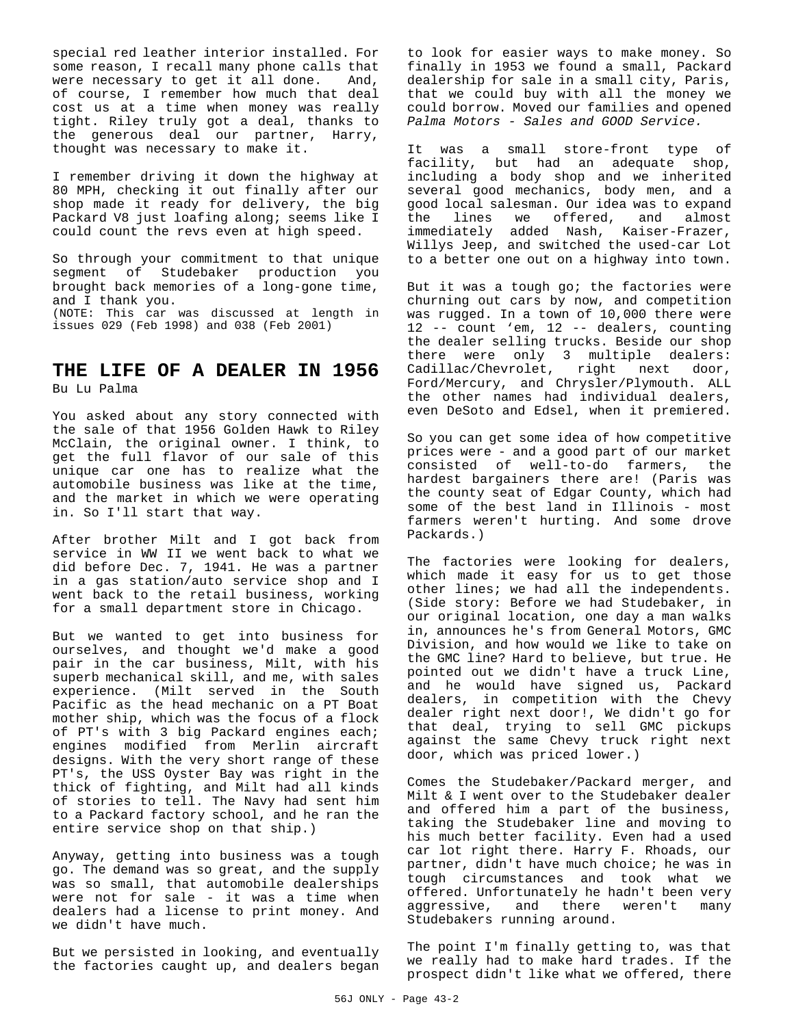special red leather interior installed. For some reason, I recall many phone calls that were necessary to get it all done. And, of course, I remember how much that deal cost us at a time when money was really tight. Riley truly got a deal, thanks to the generous deal our partner, Harry, thought was necessary to make it.

I remember driving it down the highway at 80 MPH, checking it out finally after our shop made it ready for delivery, the big Packard V8 just loafing along; seems like I could count the revs even at high speed.

So through your commitment to that unique segment of Studebaker production you brought back memories of a long-gone time, and I thank you. (NOTE: This car was discussed at length in issues 029 (Feb 1998) and 038 (Feb 2001)

# **THE LIFE OF A DEALER IN 1956**

Bu Lu Palma

You asked about any story connected with the sale of that 1956 Golden Hawk to Riley McClain, the original owner. I think, to get the full flavor of our sale of this unique car one has to realize what the automobile business was like at the time, and the market in which we were operating in. So I'll start that way.

After brother Milt and I got back from service in WW II we went back to what we did before Dec. 7, 1941. He was a partner in a gas station/auto service shop and I went back to the retail business, working for a small department store in Chicago.

But we wanted to get into business for ourselves, and thought we'd make a good pair in the car business, Milt, with his superb mechanical skill, and me, with sales experience. (Milt served in the South Pacific as the head mechanic on a PT Boat mother ship, which was the focus of a flock of PT's with 3 big Packard engines each; engines modified from Merlin aircraft designs. With the very short range of these PT's, the USS Oyster Bay was right in the thick of fighting, and Milt had all kinds of stories to tell. The Navy had sent him to a Packard factory school, and he ran the entire service shop on that ship.)

Anyway, getting into business was a tough go. The demand was so great, and the supply was so small, that automobile dealerships were not for sale - it was a time when dealers had a license to print money. And we didn't have much.

But we persisted in looking, and eventually the factories caught up, and dealers began to look for easier ways to make money. So finally in 1953 we found a small, Packard dealership for sale in a small city, Paris, that we could buy with all the money we could borrow. Moved our families and opened *Palma Motors - Sales and GOOD Service.*

It was a small store-front type of facility, but had an adequate shop, including a body shop and we inherited several good mechanics, body men, and a good local salesman. Our idea was to expand the lines we offered, and almost immediately added Nash, Kaiser-Frazer, Willys Jeep, and switched the used-car Lot to a better one out on a highway into town.

But it was a tough go; the factories were churning out cars by now, and competition was rugged. In a town of 10,000 there were 12 -- count 'em, 12 -- dealers, counting the dealer selling trucks. Beside our shop there were only 3 multiple dealers: Cadillac/Chevrolet, right next door, Ford/Mercury, and Chrysler/Plymouth. ALL the other names had individual dealers, even DeSoto and Edsel, when it premiered.

So you can get some idea of how competitive prices were - and a good part of our market consisted of well-to-do farmers, the hardest bargainers there are! (Paris was the county seat of Edgar County, which had some of the best land in Illinois - most farmers weren't hurting. And some drove Packards.)

The factories were looking for dealers, which made it easy for us to get those other lines; we had all the independents. (Side story: Before we had Studebaker, in our original location, one day a man walks in, announces he's from General Motors, GMC Division, and how would we like to take on the GMC line? Hard to believe, but true. He pointed out we didn't have a truck Line, and he would have signed us, Packard dealers, in competition with the Chevy dealer right next door!, We didn't go for that deal, trying to sell GMC pickups against the same Chevy truck right next door, which was priced lower.)

Comes the Studebaker/Packard merger, and Milt & I went over to the Studebaker dealer and offered him a part of the business, taking the Studebaker line and moving to his much better facility. Even had a used car lot right there. Harry F. Rhoads, our partner, didn't have much choice; he was in tough circumstances and took what we offered. Unfortunately he hadn't been very aggressive, and there weren't many Studebakers running around.

The point I'm finally getting to, was that we really had to make hard trades. If the prospect didn't like what we offered, there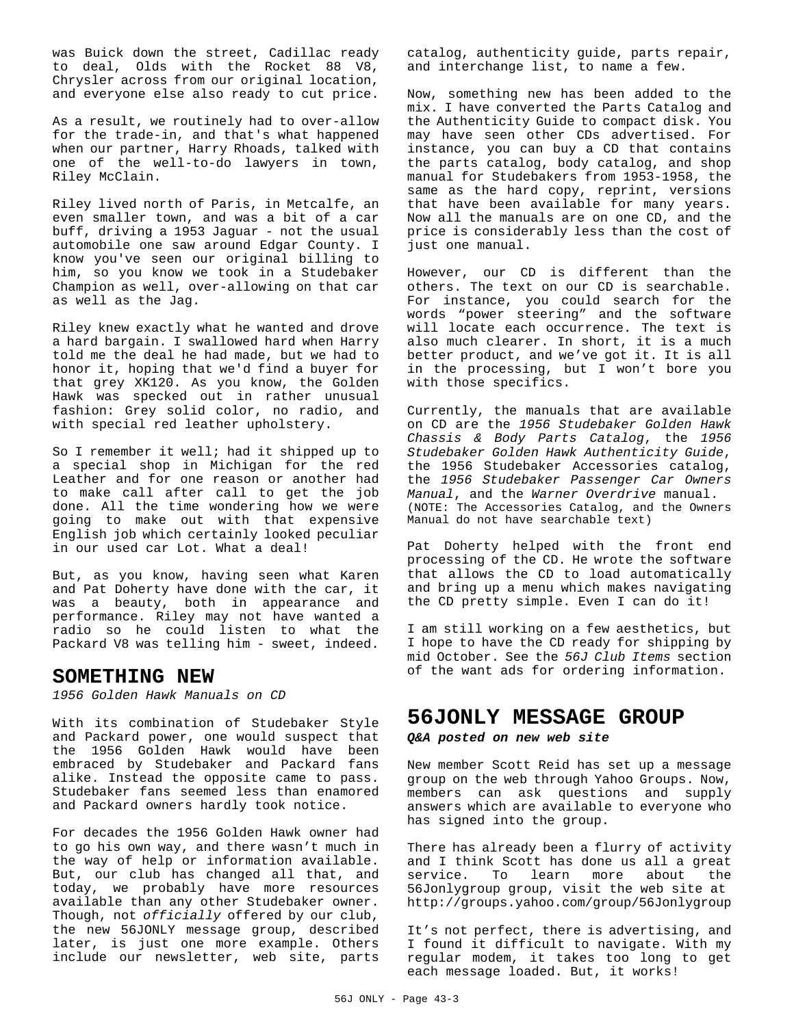was Buick down the street, Cadillac ready to deal, Olds with the Rocket 88 V8, Chrysler across from our original location, and everyone else also ready to cut price.

As a result, we routinely had to over-allow for the trade-in, and that's what happened when our partner, Harry Rhoads, talked with one of the well-to-do lawyers in town, Riley McClain.

Riley lived north of Paris, in Metcalfe, an even smaller town, and was a bit of a car buff, driving a 1953 Jaguar - not the usual automobile one saw around Edgar County. I know you've seen our original billing to him, so you know we took in a Studebaker Champion as well, over-allowing on that car as well as the Jag.

Riley knew exactly what he wanted and drove a hard bargain. I swallowed hard when Harry told me the deal he had made, but we had to honor it, hoping that we'd find a buyer for that grey XK120. As you know, the Golden Hawk was specked out in rather unusual fashion: Grey solid color, no radio, and with special red leather upholstery.

So I remember it well; had it shipped up to a special shop in Michigan for the red Leather and for one reason or another had to make call after call to get the job done. All the time wondering how we were going to make out with that expensive English job which certainly looked peculiar in our used car Lot. What a deal!

But, as you know, having seen what Karen and Pat Doherty have done with the car, it was a beauty, both in appearance and performance. Riley may not have wanted a radio so he could listen to what the Packard V8 was telling him - sweet, indeed.

## **SOMETHING NEW**

*1956 Golden Hawk Manuals on CD*

With its combination of Studebaker Style and Packard power, one would suspect that the 1956 Golden Hawk would have been embraced by Studebaker and Packard fans alike. Instead the opposite came to pass. Studebaker fans seemed less than enamored and Packard owners hardly took notice.

For decades the 1956 Golden Hawk owner had to go his own way, and there wasn't much in the way of help or information available. But, our club has changed all that, and today, we probably have more resources available than any other Studebaker owner. Though, not *officially* offered by our club, the new 56JONLY message group, described later, is just one more example. Others include our newsletter, web site, parts catalog, authenticity guide, parts repair, and interchange list, to name a few.

Now, something new has been added to the mix. I have converted the Parts Catalog and the Authenticity Guide to compact disk. You may have seen other CDs advertised. For instance, you can buy a CD that contains the parts catalog, body catalog, and shop manual for Studebakers from 1953-1958, the same as the hard copy, reprint, versions that have been available for many years. Now all the manuals are on one CD, and the price is considerably less than the cost of just one manual.

However, our CD is different than the others. The text on our CD is searchable. For instance, you could search for the words "power steering" and the software will locate each occurrence. The text is also much clearer. In short, it is a much better product, and we've got it. It is all in the processing, but I won't bore you with those specifics.

Currently, the manuals that are available on CD are the *1956 Studebaker Golden Hawk Chassis & Body Parts Catalog*, the *1956 Studebaker Golden Hawk Authenticity Guide*, the 1956 Studebaker Accessories catalog, the *1956 Studebaker Passenger Car Owners Manual*, and the *Warner Overdrive* manual. (NOTE: The Accessories Catalog, and the Owners Manual do not have searchable text)

Pat Doherty helped with the front end processing of the CD. He wrote the software that allows the CD to load automatically and bring up a menu which makes navigating the CD pretty simple. Even I can do it!

I am still working on a few aesthetics, but I hope to have the CD ready for shipping by mid October. See the *56J Club Items* section of the want ads for ordering information.

# **56JONLY MESSAGE GROUP**

#### *Q&A posted on new web site*

New member Scott Reid has set up a message group on the web through Yahoo Groups. Now, members can ask questions and supply answers which are available to everyone who has signed into the group.

There has already been a flurry of activity and I think Scott has done us all a great service. To learn more about the 56Jonlygroup group, visit the web site at http://groups.yahoo.com/group/56Jonlygroup

It's not perfect, there is advertising, and I found it difficult to navigate. With my regular modem, it takes too long to get each message loaded. But, it works!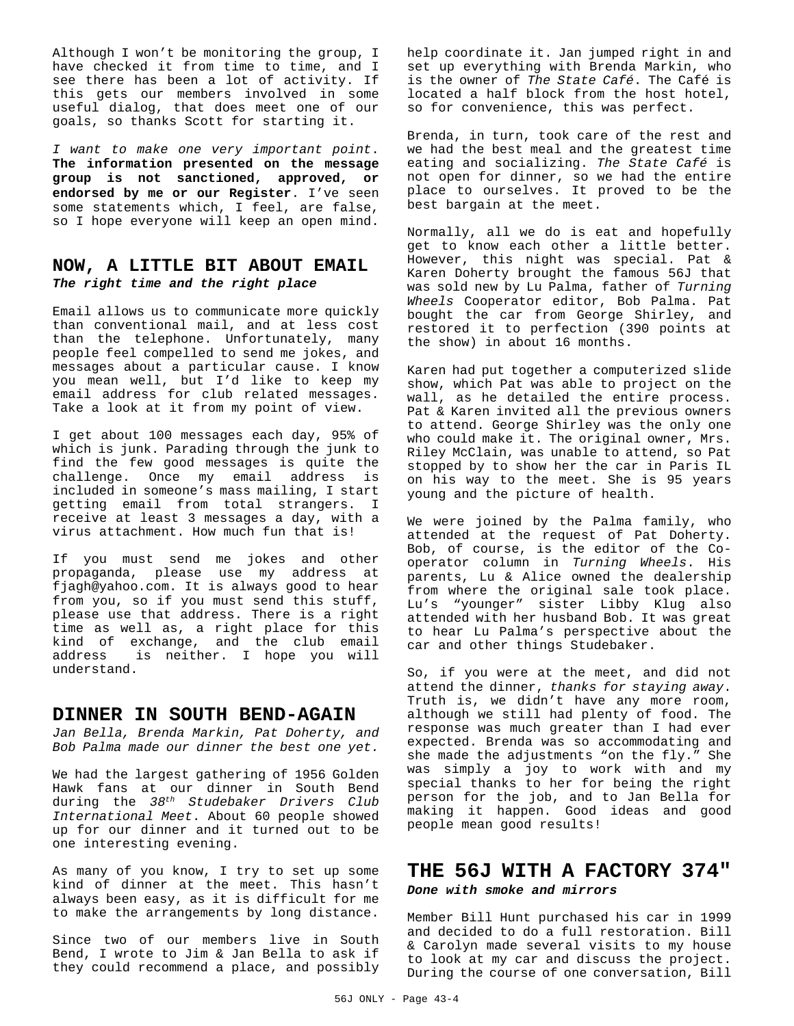Although I won't be monitoring the group, I have checked it from time to time, and I see there has been a lot of activity. If this gets our members involved in some useful dialog, that does meet one of our goals, so thanks Scott for starting it.

*I want to make one very important point*. **The information presented on the message group is not sanctioned, approved, or endorsed by me or our Register**. I've seen some statements which, I feel, are false, so I hope everyone will keep an open mind.

## **NOW, A LITTLE BIT ABOUT EMAIL** *The right time and the right place*

Email allows us to communicate more quickly than conventional mail, and at less cost than the telephone. Unfortunately, many people feel compelled to send me jokes, and messages about a particular cause. I know you mean well, but I'd like to keep my email address for club related messages. Take a look at it from my point of view.

I get about 100 messages each day, 95% of which is junk. Parading through the junk to find the few good messages is quite the challenge. Once my email address included in someone's mass mailing, I start getting email from total strangers. I receive at least 3 messages a day, with a virus attachment. How much fun that is!

If you must send me jokes and other propaganda, please use my address at fjagh@yahoo.com. It is always good to hear from you, so if you must send this stuff, please use that address. There is a right time as well as, a right place for this kind of exchange, and the club email address is neither. I hope you will understand.

#### **DINNER IN SOUTH BEND-AGAIN**

*Jan Bella, Brenda Markin, Pat Doherty, and Bob Palma made our dinner the best one yet.*

We had the largest gathering of 1956 Golden Hawk fans at our dinner in South Bend during the *38th Studebaker Drivers Club International Meet*. About 60 people showed up for our dinner and it turned out to be one interesting evening.

As many of you know, I try to set up some kind of dinner at the meet. This hasn't always been easy, as it is difficult for me to make the arrangements by long distance.

Since two of our members live in South Bend, I wrote to Jim & Jan Bella to ask if they could recommend a place, and possibly help coordinate it. Jan jumped right in and set up everything with Brenda Markin, who is the owner of *The State Café*. The Café is located a half block from the host hotel, so for convenience, this was perfect.

Brenda, in turn, took care of the rest and we had the best meal and the greatest time eating and socializing. *The State Café* is not open for dinner, so we had the entire place to ourselves. It proved to be the best bargain at the meet.

Normally, all we do is eat and hopefully get to know each other a little better. However, this night was special. Pat & Karen Doherty brought the famous 56J that was sold new by Lu Palma, father of *Turning Wheels* Cooperator editor, Bob Palma. Pat bought the car from George Shirley, and restored it to perfection (390 points at the show) in about 16 months.

Karen had put together a computerized slide show, which Pat was able to project on the wall, as he detailed the entire process. Pat & Karen invited all the previous owners to attend. George Shirley was the only one who could make it. The original owner, Mrs. Riley McClain, was unable to attend, so Pat stopped by to show her the car in Paris IL on his way to the meet. She is 95 years young and the picture of health.

We were joined by the Palma family, who attended at the request of Pat Doherty. Bob, of course, is the editor of the Cooperator column in *Turning Wheels*. His parents, Lu & Alice owned the dealership from where the original sale took place. Lu's "younger" sister Libby Klug also attended with her husband Bob. It was great to hear Lu Palma's perspective about the car and other things Studebaker.

So, if you were at the meet, and did not attend the dinner, *thanks for staying away*. Truth is, we didn't have any more room, although we still had plenty of food. The response was much greater than I had ever expected. Brenda was so accommodating and she made the adjustments "on the fly." She was simply a joy to work with and my special thanks to her for being the right person for the job, and to Jan Bella for making it happen. Good ideas and good people mean good results!

## **THE 56J WITH A FACTORY 374"** *Done with smoke and mirrors*

Member Bill Hunt purchased his car in 1999 and decided to do a full restoration. Bill & Carolyn made several visits to my house to look at my car and discuss the project. During the course of one conversation, Bill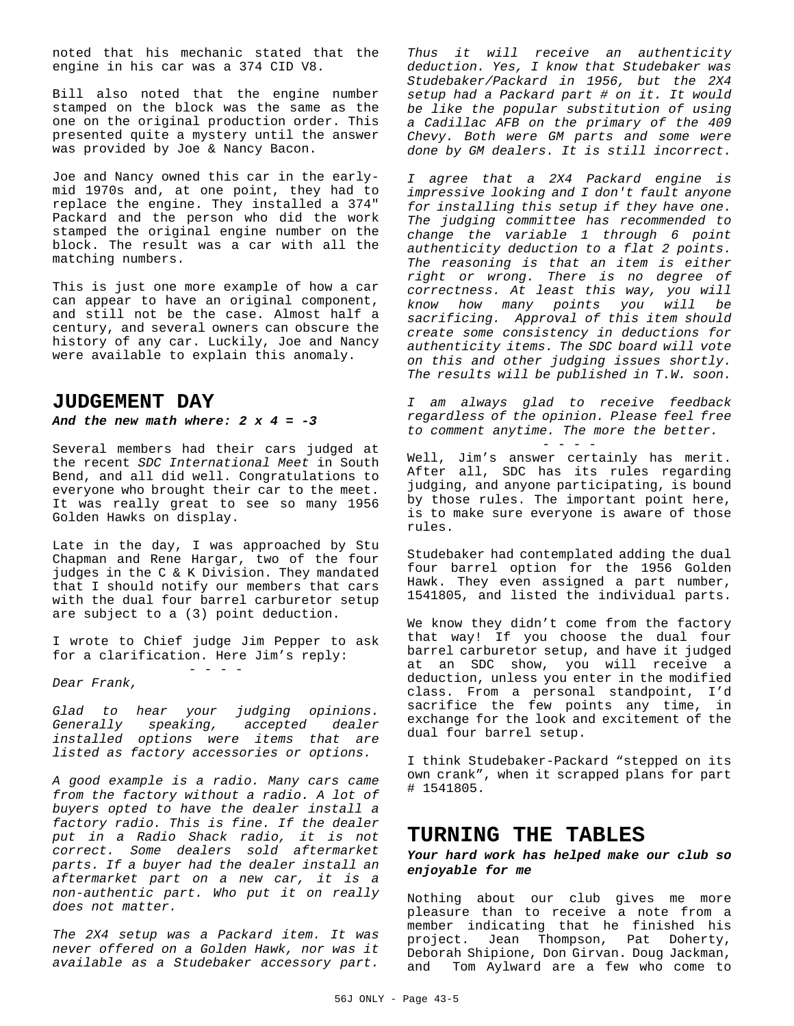noted that his mechanic stated that the engine in his car was a 374 CID V8.

Bill also noted that the engine number stamped on the block was the same as the one on the original production order. This presented quite a mystery until the answer was provided by Joe & Nancy Bacon.

Joe and Nancy owned this car in the earlymid 1970s and, at one point, they had to replace the engine. They installed a 374" Packard and the person who did the work stamped the original engine number on the block. The result was a car with all the matching numbers.

This is just one more example of how a car can appear to have an original component, and still not be the case. Almost half a century, and several owners can obscure the history of any car. Luckily, Joe and Nancy were available to explain this anomaly.

## **JUDGEMENT DAY**

#### *And the new math where: 2 x 4 = -3*

Several members had their cars judged at the recent *SDC International Meet* in South Bend, and all did well. Congratulations to everyone who brought their car to the meet. It was really great to see so many 1956 Golden Hawks on display.

Late in the day, I was approached by Stu Chapman and Rene Hargar, two of the four judges in the C & K Division. They mandated that I should notify our members that cars with the dual four barrel carburetor setup are subject to a (3) point deduction.

I wrote to Chief judge Jim Pepper to ask for a clarification. Here Jim's reply: - - - -

*Dear Frank,*

*Glad to hear your judging opinions. Generally speaking, accepted dealer installed options were items that are listed as factory accessories or options.* 

*A good example is a radio. Many cars came from the factory without a radio. A lot of buyers opted to have the dealer install a factory radio. This is fine. If the dealer put in a Radio Shack radio, it is not correct. Some dealers sold aftermarket parts. If a buyer had the dealer install an aftermarket part on a new car, it is a non-authentic part. Who put it on really does not matter.*

*The 2X4 setup was a Packard item. It was never offered on a Golden Hawk, nor was it available as a Studebaker accessory part.*

*Thus it will receive an authenticity deduction. Yes, I know that Studebaker was Studebaker/Packard in 1956, but the 2X4 setup had a Packard part # on it. It would be like the popular substitution of using a Cadillac AFB on the primary of the 409 Chevy. Both were GM parts and some were done by GM dealers. It is still incorrect.*

*I agree that a 2X4 Packard engine is impressive looking and I don't fault anyone for installing this setup if they have one. The judging committee has recommended to change the variable 1 through 6 point authenticity deduction to a flat 2 points. The reasoning is that an item is either right or wrong. There is no degree of correctness. At least this way, you will know how many points you will be sacrificing. Approval of this item should create some consistency in deductions for authenticity items. The SDC board will vote on this and other judging issues shortly. The results will be published in T.W. soon.*

*I am always glad to receive feedback regardless of the opinion. Please feel free to comment anytime. The more the better.*

- - - - Well, Jim's answer certainly has merit. After all, SDC has its rules regarding judging, and anyone participating, is bound by those rules. The important point here, is to make sure everyone is aware of those rules.

Studebaker had contemplated adding the dual four barrel option for the 1956 Golden Hawk. They even assigned a part number, 1541805, and listed the individual parts.

We know they didn't come from the factory that way! If you choose the dual four barrel carburetor setup, and have it judged at an SDC show, you will receive a deduction, unless you enter in the modified class. From a personal standpoint, I'd sacrifice the few points any time, in exchange for the look and excitement of the dual four barrel setup.

I think Studebaker-Packard "stepped on its own crank", when it scrapped plans for part # 1541805.

## **TURNING THE TABLES**

#### *Your hard work has helped make our club so enjoyable for me*

Nothing about our club gives me more pleasure than to receive a note from a member indicating that he finished his project. Jean Thompson, Pat Doherty, Deborah Shipione, Don Girvan. Doug Jackman, and Tom Aylward are a few who come to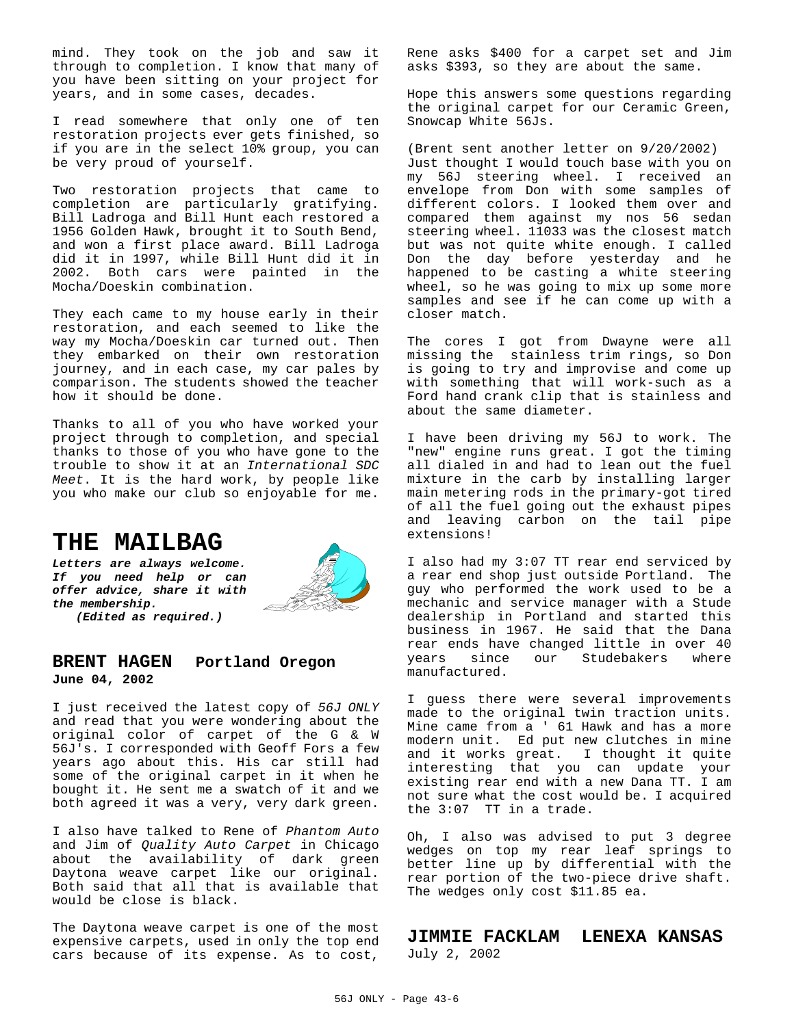mind. They took on the job and saw it through to completion. I know that many of you have been sitting on your project for years, and in some cases, decades.

I read somewhere that only one of ten restoration projects ever gets finished, so if you are in the select 10% group, you can be very proud of yourself.

Two restoration projects that came to completion are particularly gratifying. Bill Ladroga and Bill Hunt each restored a 1956 Golden Hawk, brought it to South Bend, and won a first place award. Bill Ladroga did it in 1997, while Bill Hunt did it in 2002. Both cars were painted in the Mocha/Doeskin combination.

They each came to my house early in their restoration, and each seemed to like the way my Mocha/Doeskin car turned out. Then they embarked on their own restoration journey, and in each case, my car pales by comparison. The students showed the teacher how it should be done.

Thanks to all of you who have worked your project through to completion, and special thanks to those of you who have gone to the trouble to show it at an *International SDC Meet*. It is the hard work, by people like you who make our club so enjoyable for me.

# **THE MAILBAG**

*Letters are always welcome. If you need help or can offer advice, share it with the membership. (Edited as required.)*



## **BRENT HAGEN Portland Oregon June 04, 2002**

I just received the latest copy of *56J ONLY* and read that you were wondering about the original color of carpet of the G & W 56J's. I corresponded with Geoff Fors a few years ago about this. His car still had some of the original carpet in it when he bought it. He sent me a swatch of it and we both agreed it was a very, very dark green.

I also have talked to Rene of *Phantom Auto* and Jim of *Quality Auto Carpet* in Chicago about the availability of dark green Daytona weave carpet like our original. Both said that all that is available that would be close is black.

The Daytona weave carpet is one of the most expensive carpets, used in only the top end cars because of its expense. As to cost,

Rene asks \$400 for a carpet set and Jim asks \$393, so they are about the same.

Hope this answers some questions regarding the original carpet for our Ceramic Green, Snowcap White 56Js.

(Brent sent another letter on 9/20/2002) Just thought I would touch base with you on my 56J steering wheel. I received an envelope from Don with some samples of different colors. I looked them over and compared them against my nos 56 sedan steering wheel. 11033 was the closest match but was not quite white enough. I called Don the day before yesterday and he happened to be casting a white steering wheel, so he was going to mix up some more samples and see if he can come up with a closer match.

The cores I got from Dwayne were all missing the stainless trim rings, so Don is going to try and improvise and come up with something that will work-such as a Ford hand crank clip that is stainless and about the same diameter.

I have been driving my 56J to work. The "new" engine runs great. I got the timing all dialed in and had to lean out the fuel mixture in the carb by installing larger main metering rods in the primary-got tired of all the fuel going out the exhaust pipes and leaving carbon on the tail pipe extensions!

I also had my 3:07 TT rear end serviced by a rear end shop just outside Portland. The guy who performed the work used to be a mechanic and service manager with a Stude dealership in Portland and started this business in 1967. He said that the Dana rear ends have changed little in over 40 years since our Studebakers where manufactured.

I guess there were several improvements made to the original twin traction units. Mine came from a ' 61 Hawk and has a more modern unit. Ed put new clutches in mine and it works great. I thought it quite interesting that you can update your existing rear end with a new Dana TT. I am not sure what the cost would be. I acquired the 3:07 TT in a trade.

Oh, I also was advised to put 3 degree wedges on top my rear leaf springs to better line up by differential with the rear portion of the two-piece drive shaft. The wedges only cost \$11.85 ea.

#### **JIMMIE FACKLAM LENEXA KANSAS** July 2, 2002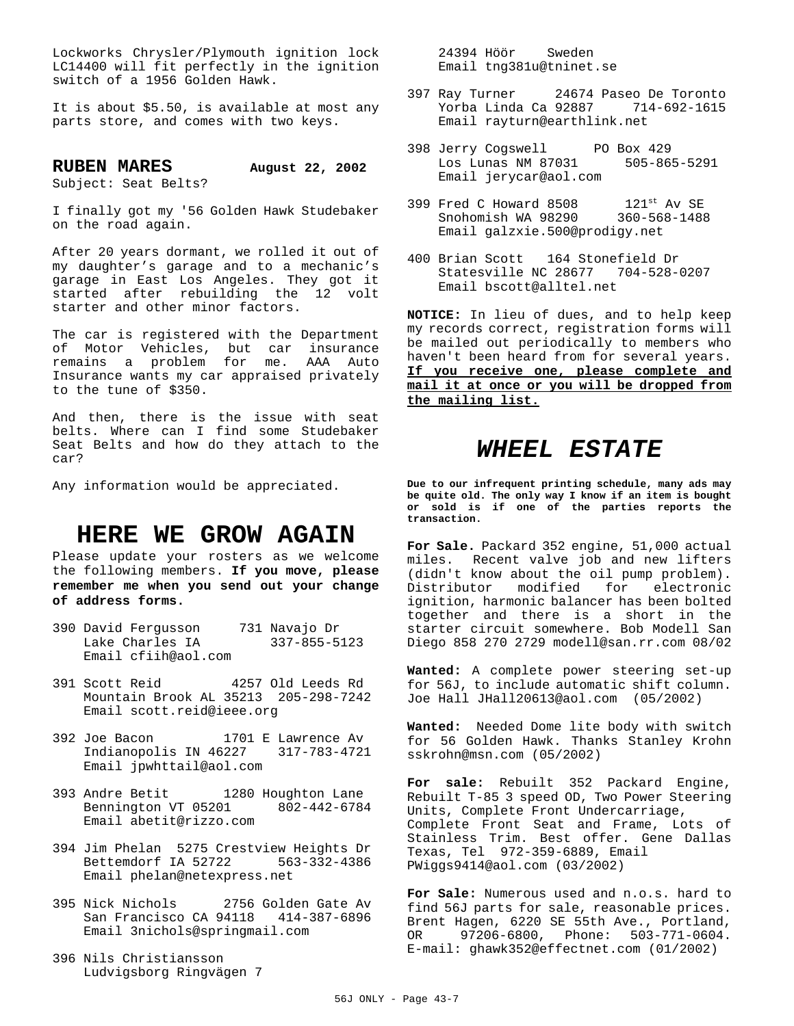Lockworks Chrysler/Plymouth ignition lock LC14400 will fit perfectly in the ignition switch of a 1956 Golden Hawk.

It is about \$5.50, is available at most any parts store, and comes with two keys.

**RUBEN MARES August 22, 2002** Subject: Seat Belts?

I finally got my '56 Golden Hawk Studebaker on the road again.

After 20 years dormant, we rolled it out of my daughter's garage and to a mechanic's garage in East Los Angeles. They got it started after rebuilding the 12 volt starter and other minor factors.

The car is registered with the Department of Motor Vehicles, but car insurance remains a problem for me. AAA Auto Insurance wants my car appraised privately to the tune of \$350.

And then, there is the issue with seat belts. Where can I find some Studebaker Seat Belts and how do they attach to the car?

Any information would be appreciated.

# **HERE WE GROW AGAIN**

Please update your rosters as we welcome the following members. **If you move, please remember me when you send out your change of address forms.**

- 390 David Fergusson 731 Navajo Dr Lake Charles IA 337-855-5123 Email cfiih@aol.com
- 391 Scott Reid 4257 Old Leeds Rd Mountain Brook AL 35213 205-298-7242 Email scott.reid@ieee.org
- 392 Joe Bacon 1701 E Lawrence Av Indianopolis IN 46227 317-783-4721 Email jpwhttail@aol.com
- 393 Andre Betit 1280 Houghton Lane Bennington VT 05201 802-442-6784 Email abetit@rizzo.com
- 394 Jim Phelan 5275 Crestview Heights Dr Bettemdorf IA 52722 563-332-4386 Email phelan@netexpress.net
- 395 Nick Nichols 2756 Golden Gate Av San Francisco CA 94118 414-387-6896 Email 3nichols@springmail.com
- 396 Nils Christiansson Ludvigsborg Ringvägen 7

 24394 Höör Sweden Email tng381u@tninet.se

- 397 Ray Turner 24674 Paseo De Toronto Yorba Linda Ca 92887 714-692-1615 Email rayturn@earthlink.net
- 398 Jerry Cogswell PO Box 429 Los Lunas NM 87031 505-865-5291 Email jerycar@aol.com
- 399 Fred C Howard 8508 121st Av SE Snohomish WA 98290 360-568-1488 Email galzxie.500@prodigy.net
- 400 Brian Scott 164 Stonefield Dr Statesville NC 28677 704-528-0207 Email bscott@alltel.net

**NOTICE:** In lieu of dues, and to help keep my records correct, registration forms will be mailed out periodically to members who haven't been heard from for several years. **If you receive one, please complete and mail it at once or you will be dropped from the mailing list.**

# *WHEEL ESTATE*

**Due to our infrequent printing schedule, many ads may be quite old. The only way I know if an item is bought or sold is if one of the parties reports the transaction.**

**For Sale.** Packard 352 engine, 51,000 actual miles. Recent valve job and new lifters (didn't know about the oil pump problem). Distributor modified for electronic ignition, harmonic balancer has been bolted together and there is a short in the starter circuit somewhere. Bob Modell San Diego 858 270 2729 modell@san.rr.com 08/02

**Wanted:** A complete power steering set-up for 56J, to include automatic shift column. Joe Hall JHall20613@aol.com (05/2002)

**Wanted:** Needed Dome lite body with switch for 56 Golden Hawk. Thanks Stanley Krohn sskrohn@msn.com (05/2002)

**For sale:** Rebuilt 352 Packard Engine, Rebuilt T-85 3 speed OD, Two Power Steering Units, Complete Front Undercarriage, Complete Front Seat and Frame, Lots of Stainless Trim. Best offer. Gene Dallas Texas, Tel 972-359-6889, Email PWiggs9414@aol.com (03/2002)

**For Sale:** Numerous used and n.o.s. hard to find 56J parts for sale, reasonable prices. Brent Hagen, 6220 SE 55th Ave., Portland, OR 97206-6800, Phone: 503-771-0604. E-mail: ghawk352@effectnet.com (01/2002)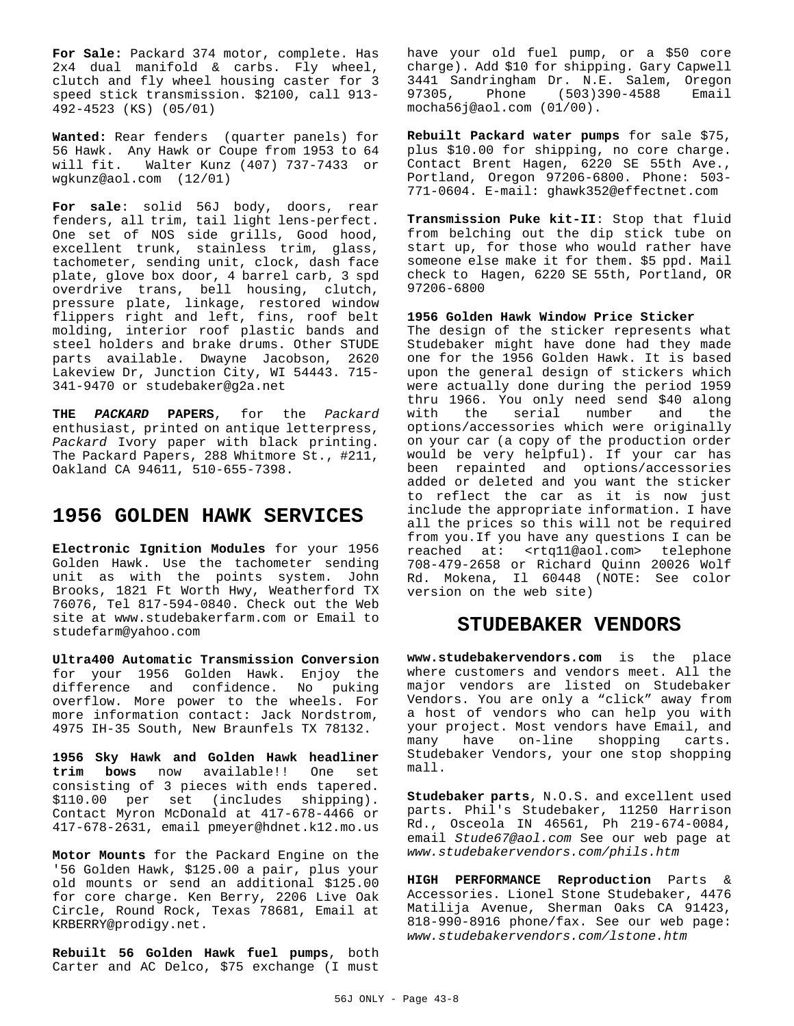**For Sale:** Packard 374 motor, complete. Has 2x4 dual manifold & carbs. Fly wheel, clutch and fly wheel housing caster for 3 speed stick transmission. \$2100, call 913- 492-4523 (KS) (05/01)

**Wanted:** Rear fenders (quarter panels) for 56 Hawk. Any Hawk or Coupe from 1953 to 64 will fit. Walter Kunz (407) 737-7433 or wgkunz@aol.com (12/01)

**For sale**: solid 56J body, doors, rear fenders, all trim, tail light lens-perfect. One set of NOS side grills, Good hood, excellent trunk, stainless trim, glass, tachometer, sending unit, clock, dash face plate, glove box door, 4 barrel carb, 3 spd overdrive trans, bell housing, clutch, pressure plate, linkage, restored window flippers right and left, fins, roof belt molding, interior roof plastic bands and steel holders and brake drums. Other STUDE parts available. Dwayne Jacobson, 2620 Lakeview Dr, Junction City, WI 54443. 715- 341-9470 or studebaker@g2a.net

**THE** *PACKARD* **PAPERS**, for the *Packard* enthusiast, printed on antique letterpress, *Packard* Ivory paper with black printing. The Packard Papers, 288 Whitmore St., #211, Oakland CA 94611, 510-655-7398.

## **1956 GOLDEN HAWK SERVICES**

**Electronic Ignition Modules** for your 1956 Golden Hawk. Use the tachometer sending unit as with the points system. John Brooks, 1821 Ft Worth Hwy, Weatherford TX 76076, Tel 817-594-0840. Check out the Web site at www.studebakerfarm.com or Email to studefarm@yahoo.com

**Ultra400 Automatic Transmission Conversion** for your 1956 Golden Hawk. Enjoy the difference and confidence. No puking overflow. More power to the wheels. For more information contact: Jack Nordstrom, 4975 IH-35 South, New Braunfels TX 78132.

**1956 Sky Hawk and Golden Hawk headliner trim bows** now available!! One set consisting of 3 pieces with ends tapered. \$110.00 per set (includes shipping). Contact Myron McDonald at 417-678-4466 or 417-678-2631, email pmeyer@hdnet.k12.mo.us

**Motor Mounts** for the Packard Engine on the '56 Golden Hawk, \$125.00 a pair, plus your old mounts or send an additional \$125.00 for core charge. Ken Berry, 2206 Live Oak Circle, Round Rock, Texas 78681, Email at KRBERRY@prodigy.net.

**Rebuilt 56 Golden Hawk fuel pumps**, both Carter and AC Delco, \$75 exchange (I must

have your old fuel pump, or a \$50 core charge). Add \$10 for shipping. Gary Capwell 3441 Sandringham Dr. N.E. Salem, Oregon 97305, Phone (503)390-4588 Email mocha56j@aol.com (01/00).

**Rebuilt Packard water pumps** for sale \$75, plus \$10.00 for shipping, no core charge. Contact Brent Hagen, 6220 SE 55th Ave., Portland, Oregon 97206-6800. Phone: 503- 771-0604. E-mail: ghawk352@effectnet.com

**Transmission Puke kit-II**: Stop that fluid from belching out the dip stick tube on start up, for those who would rather have someone else make it for them. \$5 ppd. Mail check to Hagen, 6220 SE 55th, Portland, OR 97206-6800

**1956 Golden Hawk Window Price Sticker**

The design of the sticker represents what Studebaker might have done had they made one for the 1956 Golden Hawk. It is based upon the general design of stickers which were actually done during the period 1959 thru 1966. You only need send \$40 along with the serial number and the options/accessories which were originally on your car (a copy of the production order would be very helpful). If your car has been repainted and options/accessories added or deleted and you want the sticker to reflect the car as it is now just include the appropriate information. I have all the prices so this will not be required from you.If you have any questions I can be reached at: <rtq11@aol.com> telephone 708-479-2658 or Richard Quinn 20026 Wolf Rd. Mokena, Il 60448 (NOTE: See color version on the web site)

## **STUDEBAKER VENDORS**

**www.studebakervendors.com** is the place where customers and vendors meet. All the major vendors are listed on Studebaker Vendors. You are only a "click" away from a host of vendors who can help you with your project. Most vendors have Email, and many have on-line shopping carts. Studebaker Vendors, your one stop shopping mall.

**Studebaker parts**, N.O.S. and excellent used parts. Phil's Studebaker, 11250 Harrison Rd., Osceola IN 46561, Ph 219-674-0084, email *Stude67@aol.com* See our web page at *www.studebakervendors.com/phils.htm*

**HIGH PERFORMANCE Reproduction** Parts & Accessories. Lionel Stone Studebaker, 4476 Matilija Avenue, Sherman Oaks CA 91423, 818-990-8916 phone/fax. See our web page: *www.studebakervendors.com/lstone.htm*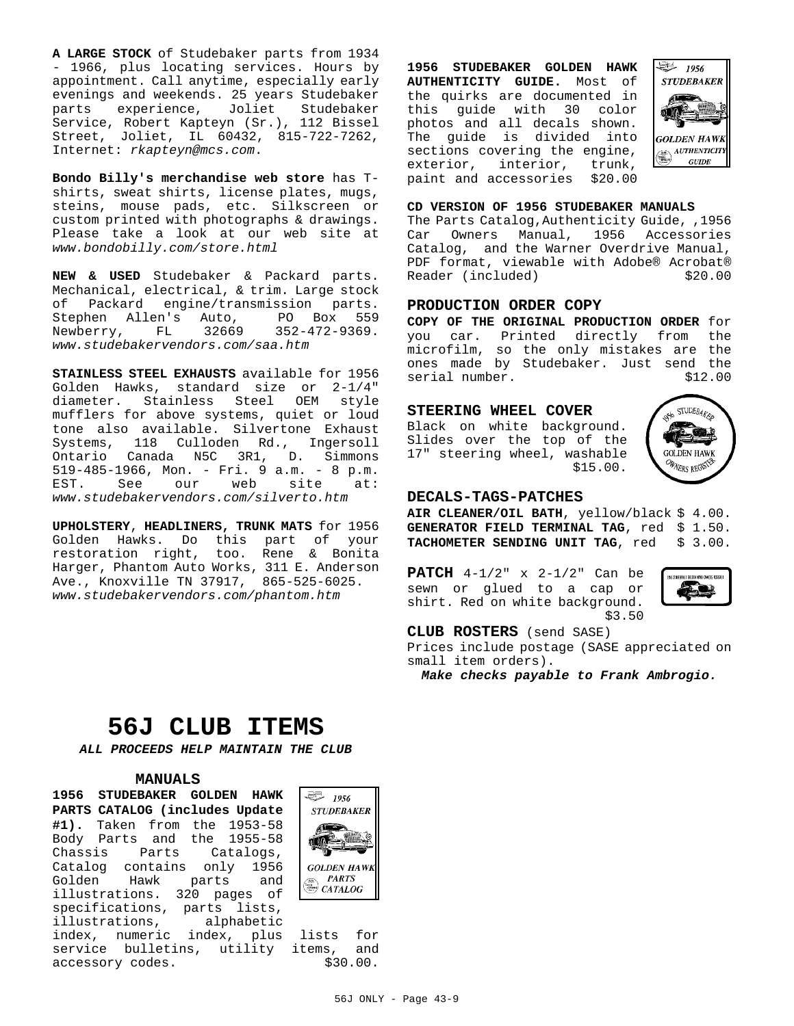**A LARGE STOCK** of Studebaker parts from 1934 - 1966, plus locating services. Hours by appointment. Call anytime, especially early evenings and weekends. 25 years Studebaker parts experience, Joliet Studebaker Service, Robert Kapteyn (Sr.), 112 Bissel Street, Joliet, IL 60432, 815-722-7262, Internet: *rkapteyn@mcs.com*.

**Bondo Billy's merchandise web store** has Tshirts, sweat shirts, license plates, mugs, steins, mouse pads, etc. Silkscreen or custom printed with photographs & drawings. Please take a look at our web site at *www.bondobilly.com/store.html*

**NEW & USED** Studebaker & Packard parts. Mechanical, electrical, & trim. Large stock of Packard engine/transmission parts. Stephen Allen's Auto, PO Box 559  $FL = 32669$   $352-472-9369$ . *www.studebakervendors.com/saa.htm*

**STAINLESS STEEL EXHAUSTS** available for 1956 Golden Hawks, standard size or 2-1/4" diameter. Stainless Steel OEM style mufflers for above systems, quiet or loud tone also available. Silvertone Exhaust Systems, 118 Culloden Rd., Ingersoll Ontario Canada N5C 3R1, D. Simmons 519-485-1966, Mon. - Fri. 9 a.m. - 8 p.m. EST. See our web site at: *www.studebakervendors.com/silverto.htm*

**UPHOLSTERY**, **HEADLINERS, TRUNK MATS** for 1956 Golden Hawks. Do this part of your restoration right, too. Rene & Bonita Harger, Phantom Auto Works, 311 E. Anderson Ave., Knoxville TN 37917, 865-525-6025. *www.studebakervendors.com/phantom.htm*

**1956 STUDEBAKER GOLDEN HAWK AUTHENTICITY GUIDE.** Most of the quirks are documented in this guide with 30 color photos and all decals shown. The guide is divided into sections covering the engine, exterior, interior, trunk,<br>paint and accessories \$20.00 paint and accessories



#### **CD VERSION OF 1956 STUDEBAKER MANUALS**

The Parts Catalog,Authenticity Guide, ,1956 Car Owners Manual, 1956 Accessories Catalog, and the Warner Overdrive Manual, PDF format, viewable with Adobe® Acrobat® Reader (included) \$20.00

#### **PRODUCTION ORDER COPY**

**COPY OF THE ORIGINAL PRODUCTION ORDER** for you car. Printed directly from the microfilm, so the only mistakes are the ones made by Studebaker. Just send the<br>serial number. \$12.00 serial number.

#### **STEERING WHEEL COVER**

Black on white background. Slides over the top of the 17" steering wheel, washable \$15.00.



#### **DECALS-TAGS-PATCHES**

**AIR CLEANER/OIL BATH**, yellow/black \$ 4.00. GENERATOR FIELD TERMINAL TAG, red \$ 1.50. **TACHOMETER SENDING UNIT TAG**, red \$ 3.00.

**PATCH** 4-1/2" x 2-1/2" Can be sewn or glued to a cap or shirt. Red on white background. \$3.50



## **CLUB ROSTERS** (send SASE)

Prices include postage (SASE appreciated on small item orders).

*Make checks payable to Frank Ambrogio.*

# **56J CLUB ITEMS**

*ALL PROCEEDS HELP MAINTAIN THE CLUB*

#### **MANUALS**

**1956 STUDEBAKER GOLDEN HAWK PARTS CATALOG (includes Update #1).** Taken from the 1953-58 Body Parts and the 1955-58<br>Chassis Parts Catalogs, Chassis Parts Catalog contains only 1956 Golden Hawk parts and illustrations. 320 pages of specifications, parts lists, illustrations, alphabetic index, numeric index, plus lists for service bulletins, utility items, and<br>accessory codes. \$30.00. accessory codes.